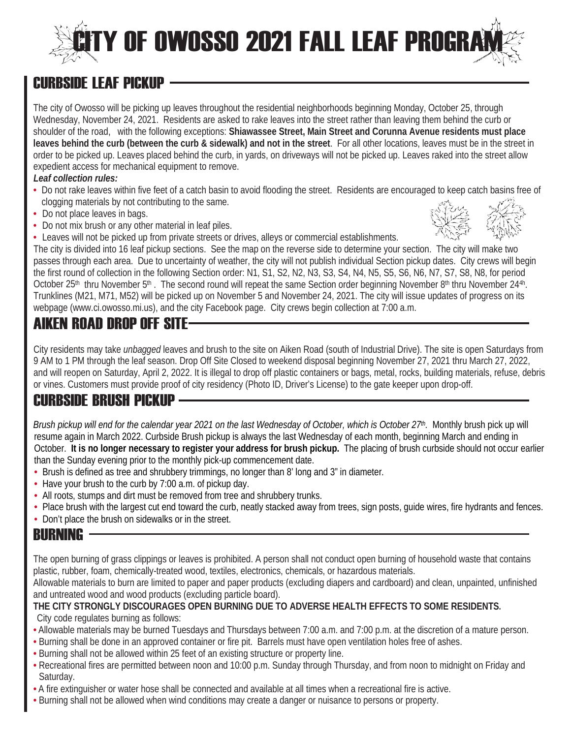## **TY OF OWOSSO 2021 FALL LEAF PROGR**

## CURBSIDE LEAF PICKUP

The city of Owosso will be picking up leaves throughout the residential neighborhoods beginning Monday, October 25, through Wednesday, November 24, 2021. Residents are asked to rake leaves into the street rather than leaving them behind the curb or shoulder of the road, with the following exceptions: **Shiawassee Street, Main Street and Corunna Avenue residents must place leaves behind the curb (between the curb & sidewalk) and not in the street**.For all other locations, leaves must be in the street in order to be picked up. Leaves placed behind the curb, in yards, on driveways will not be picked up. Leaves raked into the street allow expedient access for mechanical equipment to remove.

#### *Leaf collection rules:*

- Do not rake leaves within five feet of a catch basin to avoid flooding the street. Residents are encouraged to keep catch basins free of clogging materials by not contributing to the same.
- Do not place leaves in bags.
- Do not mix brush or any other material in leaf piles.
- Leaves will not be picked up from private streets or drives, alleys or commercial establishments.



The city is divided into 16 leaf pickup sections. See the map on the reverse side to determine your section. The city will make two passes through each area. Due to uncertainty of weather, the city will not publish individual Section pickup dates. City crews will begin the first round of collection in the following Section order: N1, S1, S2, N2, N3, S3, S4, N4, N5, S5, S6, N6, N7, S7, S8, N8, for period October 25<sup>th</sup> thru November 5<sup>th</sup>. The second round will repeat the same Section order beginning November 8<sup>th</sup> thru November 24<sup>4h</sup>. Trunklines (M21, M71, M52) will be picked up on November 5 and November 24, 2021. The city will issue updates of progress on its webpage (www.ci.owosso.mi.us), and the city Facebook page. City crews begin collection at 7:00 a.m.

## AIKFN ROAD DROP OFF SITF-

City residents may take *unbagged* leaves and brush to the site on Aiken Road (south of Industrial Drive). The site is open Saturdays from 9 AM to 1 PM through the leaf season. Drop Off Site Closed to weekend disposal beginning November 27, 2021 thru March 27, 2022, and will reopen on Saturday, April 2, 2022. It is illegal to drop off plastic containers or bags, metal, rocks, building materials, refuse, debris or vines. Customers must provide proof of city residency (Photo ID, Driver's License) to the gate keeper upon drop-off.

#### CURBSIDE BRUSH PICKUP

*Brush pickup will end for the calendar year 2021 on the last Wednesday of October, which is October 27th.* Monthly brush pick up will resume again in March 2022. Curbside Brush pickup is always the last Wednesday of each month, beginning March and ending in October. **It is no longer necessary to register your address for brush pickup.** The placing of brush curbside should not occur earlier than the Sunday evening prior to the monthly pick-up commencement date.

- Brush is defined as tree and shrubbery trimmings, no longer than 8' long and 3" in diameter.
- Have your brush to the curb by 7:00 a.m. of pickup day.
- All roots, stumps and dirt must be removed from tree and shrubbery trunks.
- Place brush with the largest cut end toward the curb, neatly stacked away from trees, sign posts, guide wires, fire hydrants and fences.
- Don't place the brush on sidewalks or in the street.

#### BURNING

The open burning of grass clippings or leaves is prohibited. A person shall not conduct open burning of household waste that contains plastic, rubber, foam, chemically-treated wood, textiles, electronics, chemicals, or hazardous materials.

Allowable materials to burn are limited to paper and paper products (excluding diapers and cardboard) and clean, unpainted, unfinished and untreated wood and wood products (excluding particle board).

#### **THE CITY STRONGLY DISCOURAGES OPEN BURNING DUE TO ADVERSE HEALTH EFFECTS TO SOME RESIDENTS.** City code regulates burning as follows:

- Allowable materials may be burned Tuesdays and Thursdays between 7:00 a.m. and 7:00 p.m. at the discretion of a mature person.
- Burning shall be done in an approved container or fire pit. Barrels must have open ventilation holes free of ashes.
- Burning shall not be allowed within 25 feet of an existing structure or property line.
- Recreational fires are permitted between noon and 10:00 p.m. Sunday through Thursday, and from noon to midnight on Friday and Saturday.
- A fire extinguisher or water hose shall be connected and available at all times when a recreational fire is active.
- Burning shall not be allowed when wind conditions may create a danger or nuisance to persons or property.